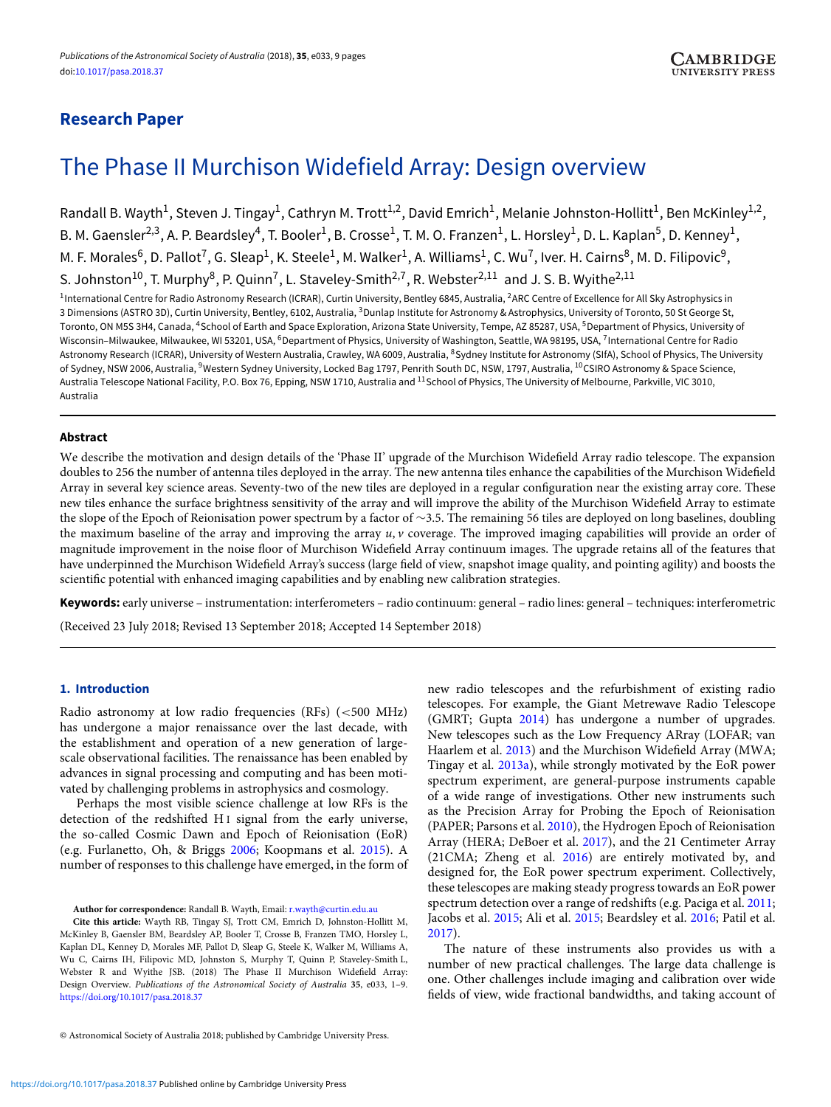# **Research Paper**

# The Phase II Murchison Widefield Array: Design overview

Randall B. Wayth<sup>1</sup>, Steven J. Tingay<sup>1</sup>, Cathryn M. Trott<sup>1,2</sup>, David Emrich<sup>1</sup>, Melanie Johnston-Hollitt<sup>1</sup>, Ben McKinley<sup>1,2</sup>, B. M. Gaensler<sup>2,3</sup>, A. P. Beardsley<sup>4</sup>, T. Booler<sup>1</sup>, B. Crosse<sup>1</sup>, T. M. O. Franzen<sup>1</sup>, L. Horsley<sup>1</sup>, D. L. Kaplan<sup>5</sup>, D. Kenney<sup>1</sup>, M. F. Morales<sup>6</sup>, D. Pallot<sup>7</sup>, G. Sleap<sup>1</sup>, K. Steele<sup>1</sup>, M. Walker<sup>1</sup>, A. Williams<sup>1</sup>, C. Wu<sup>7</sup>, Iver. H. Cairns<sup>8</sup>, M. D. Filipovic<sup>9</sup>, S. Johnston<sup>10</sup>, T. Murphy<sup>8</sup>, P. Quinn<sup>7</sup>, L. Staveley-Smith<sup>2,7</sup>, R. Webster<sup>2,11</sup> and J. S. B. Wyithe<sup>2,11</sup>

<sup>1</sup>International Centre for Radio Astronomy Research (ICRAR), Curtin University, Bentley 6845, Australia, <sup>2</sup>ARC Centre of Excellence for All Sky Astrophysics in 3 Dimensions (ASTRO 3D), Curtin University, Bentley, 6102, Australia, 3Dunlap Institute for Astronomy & Astrophysics, University of Toronto, 50 St George St, Toronto, ON M5S 3H4, Canada, <sup>4</sup>School of Earth and Space Exploration, Arizona State University, Tempe, AZ 85287, USA, <sup>5</sup>Department of Physics, University of Wisconsin-Milwaukee, Milwaukee, WI 53201, USA, <sup>6</sup>Department of Physics, University of Washington, Seattle, WA 98195, USA, <sup>7</sup>International Centre for Radio Astronomy Research (ICRAR), University of Western Australia, Crawley, WA 6009, Australia, <sup>8</sup>Sydney Institute for Astronomy (SIfA), School of Physics, The University of Sydney, NSW 2006, Australia, <sup>9</sup>Western Sydney University, Locked Bag 1797, Penrith South DC, NSW, 1797, Australia, <sup>10</sup>CSIRO Astronomy & Space Science, Australia Telescope National Facility, P.O. Box 76, Epping, NSW 1710, Australia and <sup>11</sup> School of Physics, The University of Melbourne, Parkville, VIC 3010, Australia

# **Abstract**

We describe the motivation and design details of the 'Phase II' upgrade of the Murchison Widefield Array radio telescope. The expansion doubles to 256 the number of antenna tiles deployed in the array. The new antenna tiles enhance the capabilities of the Murchison Widefield Array in several key science areas. Seventy-two of the new tiles are deployed in a regular configuration near the existing array core. These new tiles enhance the surface brightness sensitivity of the array and will improve the ability of the Murchison Widefield Array to estimate the slope of the Epoch of Reionisation power spectrum by a factor of ∼3.5. The remaining 56 tiles are deployed on long baselines, doubling the maximum baseline of the array and improving the array *u*, *v* coverage. The improved imaging capabilities will provide an order of magnitude improvement in the noise floor of Murchison Widefield Array continuum images. The upgrade retains all of the features that have underpinned the Murchison Widefield Array's success (large field of view, snapshot image quality, and pointing agility) and boosts the scientific potential with enhanced imaging capabilities and by enabling new calibration strategies.

**Keywords:** early universe – instrumentation: interferometers – radio continuum: general – radio lines: general – techniques: interferometric

(Received 23 July 2018; Revised 13 September 2018; Accepted 14 September 2018)

# **1. Introduction**

Radio astronomy at low radio frequencies (RFs) (*<*500 MHz) has undergone a major renaissance over the last decade, with the establishment and operation of a new generation of largescale observational facilities. The renaissance has been enabled by advances in signal processing and computing and has been motivated by challenging problems in astrophysics and cosmology.

Perhaps the most visible science challenge at low RFs is the detection of the redshifted H<sub>I</sub> signal from the early universe, the so-called Cosmic Dawn and Epoch of Reionisation (EoR) (e.g. Furlanetto, Oh, & Briggs [2006](#page-7-0); Koopmans et al. [2015](#page-7-1)). A number of responses to this challenge have emerged, in the form of

**Author for correspondence:** Randall B. Wayth, Email: [r.wayth@curtin.edu.au](mailto:r.wayth@curtin.edu.au)

**Cite this article:** Wayth RB, Tingay SJ, Trott CM, Emrich D, Johnston-Hollitt M, McKinley B, Gaensler BM, Beardsley AP, Booler T, Crosse B, Franzen TMO, Horsley L, Kaplan DL, Kenney D, Morales MF, Pallot D, Sleap G, Steele K, Walker M, Williams A, Wu C, Cairns IH, Filipovic MD, Johnston S, Murphy T, Quinn P, Staveley-Smith L, Webster R and Wyithe JSB. (2018) The Phase II Murchison Widefield Array: Design Overview. *Publications of the Astronomical Society of Australia* **35**, e033, 1–9. <https://doi.org/10.1017/pasa.2018.37>

new radio telescopes and the refurbishment of existing radio telescopes. For example, the Giant Metrewave Radio Telescope (GMRT; Gupta [2014](#page-7-2)) has undergone a number of upgrades. New telescopes such as the Low Frequency ARray (LOFAR; van Haarlem et al. [2013\)](#page-8-0) and the Murchison Widefield Array (MWA; Tingay et al. [2013a](#page-8-1)), while strongly motivated by the EoR power spectrum experiment, are general-purpose instruments capable of a wide range of investigations. Other new instruments such as the Precision Array for Probing the Epoch of Reionisation (PAPER; Parsons et al. [2010\)](#page-7-3), the Hydrogen Epoch of Reionisation Array (HERA; DeBoer et al. [2017\)](#page-7-4), and the 21 Centimeter Array (21CMA; Zheng et al. [2016\)](#page-8-2) are entirely motivated by, and designed for, the EoR power spectrum experiment. Collectively, these telescopes are making steady progress towards an EoR power spectrum detection over a range of redshifts (e.g. Paciga et al. [2011;](#page-7-5) Jacobs et al. [2015](#page-7-6); Ali et al. [2015](#page-7-7); Beardsley et al. [2016](#page-7-8); Patil et al. [2017\)](#page-8-3).

The nature of these instruments also provides us with a number of new practical challenges. The large data challenge is one. Other challenges include imaging and calibration over wide fields of view, wide fractional bandwidths, and taking account of

<sup>©</sup> Astronomical Society of Australia 2018; published by Cambridge University Press.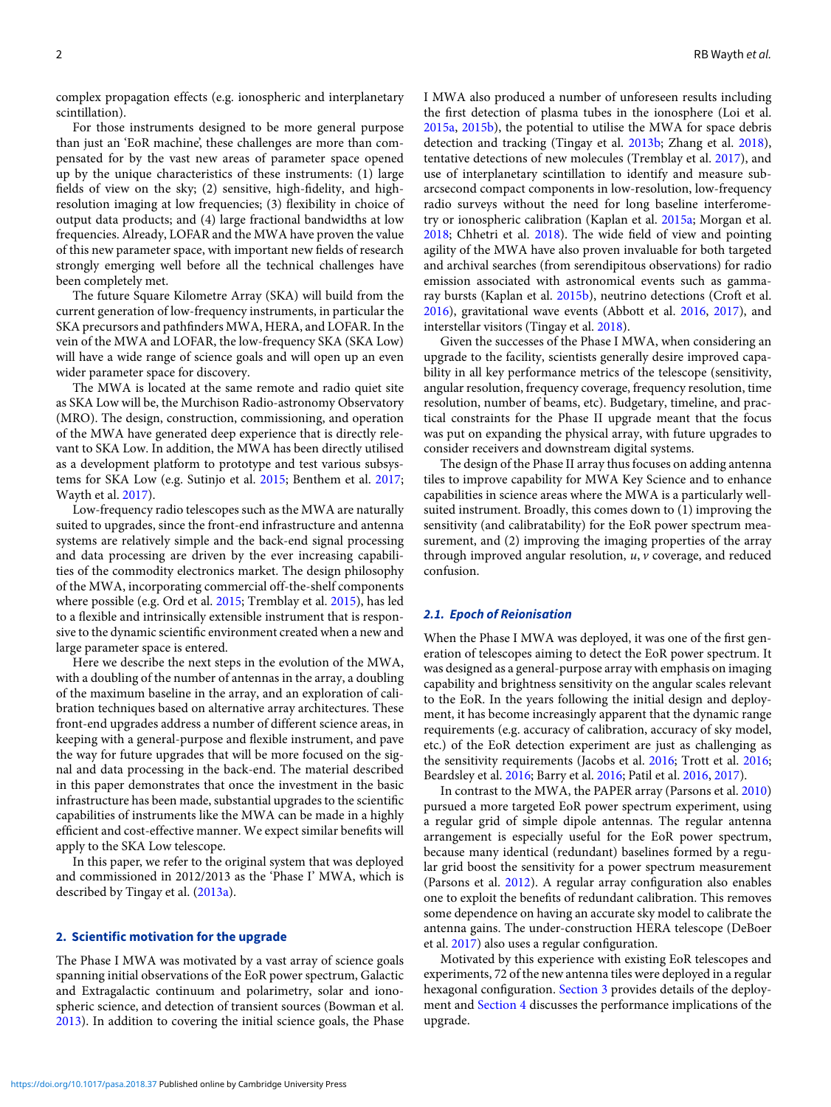complex propagation effects (e.g. ionospheric and interplanetary scintillation).

For those instruments designed to be more general purpose than just an 'EoR machine', these challenges are more than compensated for by the vast new areas of parameter space opened up by the unique characteristics of these instruments: (1) large fields of view on the sky; (2) sensitive, high-fidelity, and highresolution imaging at low frequencies; (3) flexibility in choice of output data products; and (4) large fractional bandwidths at low frequencies. Already, LOFAR and the MWA have proven the value of this new parameter space, with important new fields of research strongly emerging well before all the technical challenges have been completely met.

The future Square Kilometre Array (SKA) will build from the current generation of low-frequency instruments, in particular the SKA precursors and pathfinders MWA, HERA, and LOFAR. In the vein of the MWA and LOFAR, the low-frequency SKA (SKA Low) will have a wide range of science goals and will open up an even wider parameter space for discovery.

The MWA is located at the same remote and radio quiet site as SKA Low will be, the Murchison Radio-astronomy Observatory (MRO). The design, construction, commissioning, and operation of the MWA have generated deep experience that is directly relevant to SKA Low. In addition, the MWA has been directly utilised as a development platform to prototype and test various subsystems for SKA Low (e.g. Sutinjo et al. [2015;](#page-8-4) Benthem et al. [2017](#page-7-9); Wayth et al. [2017](#page-8-5)).

Low-frequency radio telescopes such as the MWA are naturally suited to upgrades, since the front-end infrastructure and antenna systems are relatively simple and the back-end signal processing and data processing are driven by the ever increasing capabilities of the commodity electronics market. The design philosophy of the MWA, incorporating commercial off-the-shelf components where possible (e.g. Ord et al. [2015](#page-7-10); Tremblay et al. [2015](#page-8-6)), has led to a flexible and intrinsically extensible instrument that is responsive to the dynamic scientific environment created when a new and large parameter space is entered.

Here we describe the next steps in the evolution of the MWA, with a doubling of the number of antennas in the array, a doubling of the maximum baseline in the array, and an exploration of calibration techniques based on alternative array architectures. These front-end upgrades address a number of different science areas, in keeping with a general-purpose and flexible instrument, and pave the way for future upgrades that will be more focused on the signal and data processing in the back-end. The material described in this paper demonstrates that once the investment in the basic infrastructure has been made, substantial upgrades to the scientific capabilities of instruments like the MWA can be made in a highly efficient and cost-effective manner. We expect similar benefits will apply to the SKA Low telescope.

In this paper, we refer to the original system that was deployed and commissioned in 2012/2013 as the 'Phase I' MWA, which is described by Tingay et al. [\(2013a\)](#page-8-1).

# **2. Scientific motivation for the upgrade**

The Phase I MWA was motivated by a vast array of science goals spanning initial observations of the EoR power spectrum, Galactic and Extragalactic continuum and polarimetry, solar and ionospheric science, and detection of transient sources (Bowman et al. [2013](#page-7-11)). In addition to covering the initial science goals, the Phase

I MWA also produced a number of unforeseen results including the first detection of plasma tubes in the ionosphere (Loi et al. [2015a](#page-7-12), [2015b](#page-7-13)), the potential to utilise the MWA for space debris detection and tracking (Tingay et al. [2013b;](#page-8-7) Zhang et al. [2018\)](#page-8-8), tentative detections of new molecules (Tremblay et al. [2017\)](#page-8-9), and use of interplanetary scintillation to identify and measure subarcsecond compact components in low-resolution, low-frequency radio surveys without the need for long baseline interferometry or ionospheric calibration (Kaplan et al. [2015a;](#page-7-14) Morgan et al. [2018;](#page-7-15) Chhetri et al. [2018\)](#page-7-16). The wide field of view and pointing agility of the MWA have also proven invaluable for both targeted and archival searches (from serendipitous observations) for radio emission associated with astronomical events such as gammaray bursts (Kaplan et al. [2015b](#page-7-17)), neutrino detections (Croft et al. [2016\)](#page-7-18), gravitational wave events (Abbott et al. [2016](#page-7-19), [2017\)](#page-7-20), and interstellar visitors (Tingay et al. [2018](#page-8-10)).

Given the successes of the Phase I MWA, when considering an upgrade to the facility, scientists generally desire improved capability in all key performance metrics of the telescope (sensitivity, angular resolution, frequency coverage, frequency resolution, time resolution, number of beams, etc). Budgetary, timeline, and practical constraints for the Phase II upgrade meant that the focus was put on expanding the physical array, with future upgrades to consider receivers and downstream digital systems.

The design of the Phase II array thus focuses on adding antenna tiles to improve capability for MWA Key Science and to enhance capabilities in science areas where the MWA is a particularly wellsuited instrument. Broadly, this comes down to (1) improving the sensitivity (and calibratability) for the EoR power spectrum measurement, and (2) improving the imaging properties of the array through improved angular resolution, *u*, *v* coverage, and reduced confusion.

#### *2.1. Epoch of Reionisation*

When the Phase I MWA was deployed, it was one of the first generation of telescopes aiming to detect the EoR power spectrum. It was designed as a general-purpose array with emphasis on imaging capability and brightness sensitivity on the angular scales relevant to the EoR. In the years following the initial design and deployment, it has become increasingly apparent that the dynamic range requirements (e.g. accuracy of calibration, accuracy of sky model, etc.) of the EoR detection experiment are just as challenging as the sensitivity requirements (Jacobs et al. [2016](#page-7-21); Trott et al. [2016](#page-8-11); Beardsley et al. [2016](#page-7-8); Barry et al. [2016](#page-7-22); Patil et al. [2016,](#page-7-23) [2017](#page-8-3)).

In contrast to the MWA, the PAPER array (Parsons et al. [2010\)](#page-7-3) pursued a more targeted EoR power spectrum experiment, using a regular grid of simple dipole antennas. The regular antenna arrangement is especially useful for the EoR power spectrum, because many identical (redundant) baselines formed by a regular grid boost the sensitivity for a power spectrum measurement (Parsons et al. [2012](#page-7-24)). A regular array configuration also enables one to exploit the benefits of redundant calibration. This removes some dependence on having an accurate sky model to calibrate the antenna gains. The under-construction HERA telescope (DeBoer et al. [2017\)](#page-7-4) also uses a regular configuration.

Motivated by this experience with existing EoR telescopes and experiments, 72 of the new antenna tiles were deployed in a regular hexagonal configuration. [Section 3](#page-2-0) provides details of the deployment and [Section 4](#page-5-0) discusses the performance implications of the upgrade.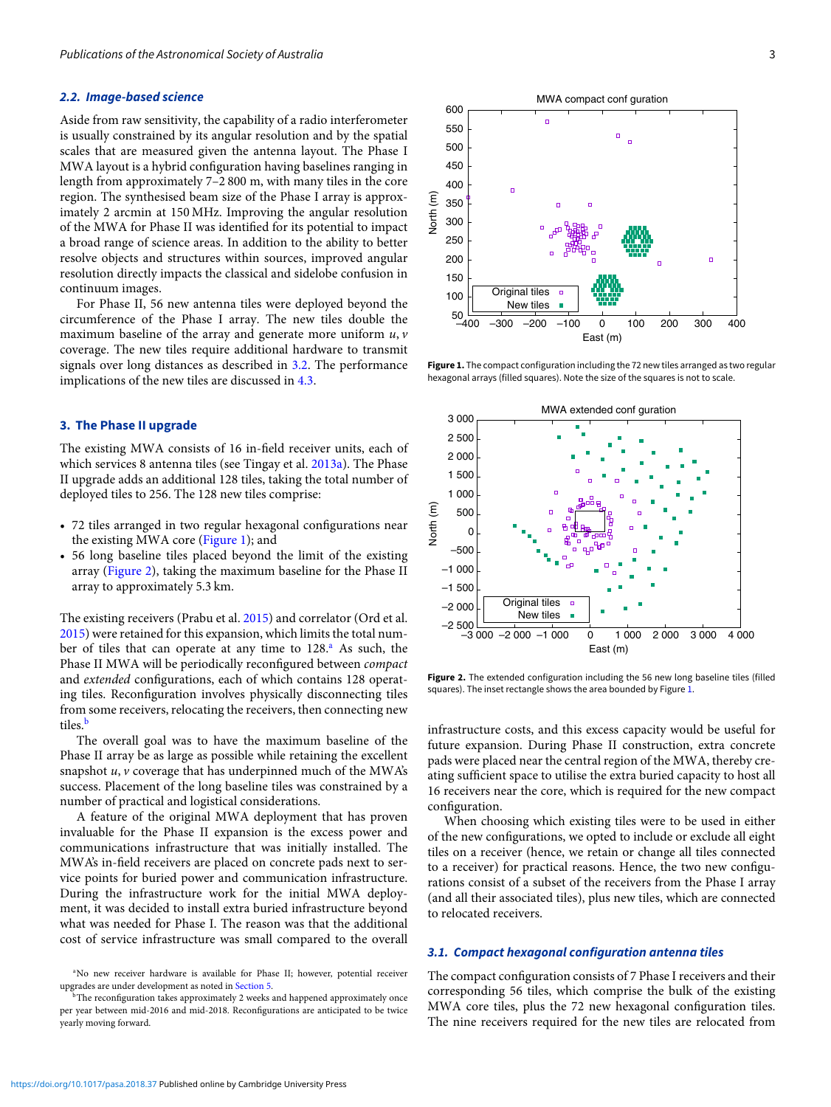#### *2.2. Image-based science*

Aside from raw sensitivity, the capability of a radio interferometer is usually constrained by its angular resolution and by the spatial scales that are measured given the antenna layout. The Phase I MWA layout is a hybrid configuration having baselines ranging in length from approximately 7–2 800 m, with many tiles in the core region. The synthesised beam size of the Phase I array is approximately 2 arcmin at 150 MHz. Improving the angular resolution of the MWA for Phase II was identified for its potential to impact a broad range of science areas. In addition to the ability to better resolve objects and structures within sources, improved angular resolution directly impacts the classical and sidelobe confusion in continuum images.

For Phase II, 56 new antenna tiles were deployed beyond the circumference of the Phase I array. The new tiles double the maximum baseline of the array and generate more uniform *u*, *v* coverage. The new tiles require additional hardware to transmit signals over long distances as described in [3.2.](#page-3-0) The performance implications of the new tiles are discussed in [4.3.](#page-5-1)

# <span id="page-2-0"></span>**3. The Phase II upgrade**

The existing MWA consists of 16 in-field receiver units, each of which services 8 antenna tiles (see Tingay et al. [2013a\)](#page-8-1). The Phase II upgrade adds an additional 128 tiles, taking the total number of deployed tiles to 256. The 128 new tiles comprise:

- 72 tiles arranged in two regular hexagonal configurations near the existing MWA core [\(Figure 1\)](#page-2-1); and
- 56 long baseline tiles placed beyond the limit of the existing array [\(Figure 2\)](#page-2-2), taking the maximum baseline for the Phase II array to approximately 5.3 km.

The existing receivers (Prabu et al. [2015\)](#page-8-12) and correlator (Ord et al. [2015](#page-7-10)) were retained for this expansion, which limits the total number of tiles that can operate at any time to  $128<sup>a</sup>$ . As such, the Phase II MWA will be periodically reconfigured between *compact* and *extended* configurations, each of which contains 128 operating tiles. Reconfiguration involves physically disconnecting tiles from some receivers, relocating the receivers, then connecting new tiles.<sup>[b](#page-2-4)</sup>

The overall goal was to have the maximum baseline of the Phase II array be as large as possible while retaining the excellent snapshot *u*, *v* coverage that has underpinned much of the MWA's success. Placement of the long baseline tiles was constrained by a number of practical and logistical considerations.

A feature of the original MWA deployment that has proven invaluable for the Phase II expansion is the excess power and communications infrastructure that was initially installed. The MWA's in-field receivers are placed on concrete pads next to service points for buried power and communication infrastructure. During the infrastructure work for the initial MWA deployment, it was decided to install extra buried infrastructure beyond what was needed for Phase I. The reason was that the additional cost of service infrastructure was small compared to the overall

<span id="page-2-1"></span>

**Figure 1.** The compact configuration including the 72 new tiles arranged as two regular hexagonal arrays (filled squares). Note the size of the squares is not to scale.

<span id="page-2-2"></span>

**Figure 2.** The extended configuration including the 56 new long baseline tiles (filled squares). The inset rectangle shows the area bounded by Figure [1.](#page-2-1)

infrastructure costs, and this excess capacity would be useful for future expansion. During Phase II construction, extra concrete pads were placed near the central region of the MWA, thereby creating sufficient space to utilise the extra buried capacity to host all 16 receivers near the core, which is required for the new compact configuration.

When choosing which existing tiles were to be used in either of the new configurations, we opted to include or exclude all eight tiles on a receiver (hence, we retain or change all tiles connected to a receiver) for practical reasons. Hence, the two new configurations consist of a subset of the receivers from the Phase I array (and all their associated tiles), plus new tiles, which are connected to relocated receivers.

# *3.1. Compact hexagonal configuration antenna tiles*

The compact configuration consists of 7 Phase I receivers and their corresponding 56 tiles, which comprise the bulk of the existing MWA core tiles, plus the 72 new hexagonal configuration tiles. The nine receivers required for the new tiles are relocated from

<span id="page-2-3"></span><sup>&</sup>lt;sup>a</sup>No new receiver hardware is available for Phase II; however, potential receiver upgrades are under development as noted in [Section 5.](#page-6-0)

<span id="page-2-4"></span>The reconfiguration takes approximately 2 weeks and happened approximately once per year between mid-2016 and mid-2018. Reconfigurations are anticipated to be twice yearly moving forward.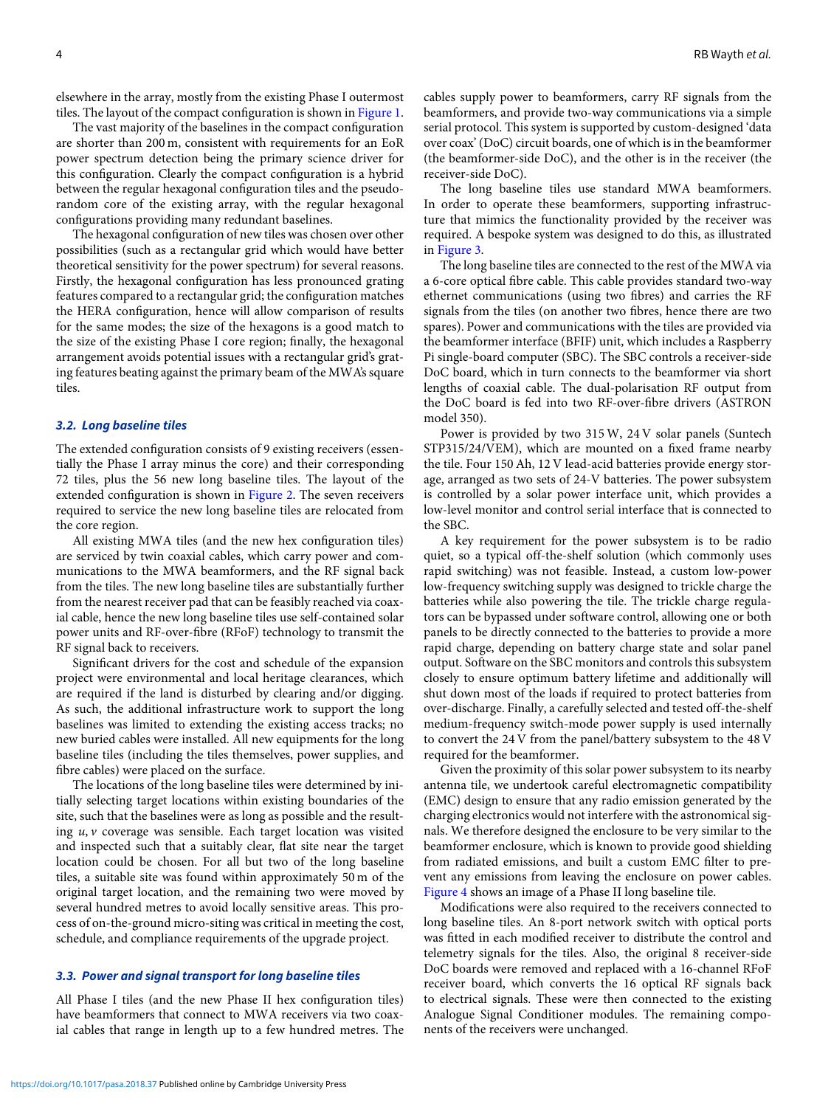elsewhere in the array, mostly from the existing Phase I outermost tiles. The layout of the compact configuration is shown in [Figure 1.](#page-2-1)

The vast majority of the baselines in the compact configuration are shorter than 200 m, consistent with requirements for an EoR power spectrum detection being the primary science driver for this configuration. Clearly the compact configuration is a hybrid between the regular hexagonal configuration tiles and the pseudorandom core of the existing array, with the regular hexagonal configurations providing many redundant baselines.

The hexagonal configuration of new tiles was chosen over other possibilities (such as a rectangular grid which would have better theoretical sensitivity for the power spectrum) for several reasons. Firstly, the hexagonal configuration has less pronounced grating features compared to a rectangular grid; the configuration matches the HERA configuration, hence will allow comparison of results for the same modes; the size of the hexagons is a good match to the size of the existing Phase I core region; finally, the hexagonal arrangement avoids potential issues with a rectangular grid's grating features beating against the primary beam of the MWA's square tiles.

#### <span id="page-3-0"></span>*3.2. Long baseline tiles*

The extended configuration consists of 9 existing receivers (essentially the Phase I array minus the core) and their corresponding 72 tiles, plus the 56 new long baseline tiles. The layout of the extended configuration is shown in [Figure 2.](#page-2-2) The seven receivers required to service the new long baseline tiles are relocated from the core region.

All existing MWA tiles (and the new hex configuration tiles) are serviced by twin coaxial cables, which carry power and communications to the MWA beamformers, and the RF signal back from the tiles. The new long baseline tiles are substantially further from the nearest receiver pad that can be feasibly reached via coaxial cable, hence the new long baseline tiles use self-contained solar power units and RF-over-fibre (RFoF) technology to transmit the RF signal back to receivers.

Significant drivers for the cost and schedule of the expansion project were environmental and local heritage clearances, which are required if the land is disturbed by clearing and/or digging. As such, the additional infrastructure work to support the long baselines was limited to extending the existing access tracks; no new buried cables were installed. All new equipments for the long baseline tiles (including the tiles themselves, power supplies, and fibre cables) were placed on the surface.

The locations of the long baseline tiles were determined by initially selecting target locations within existing boundaries of the site, such that the baselines were as long as possible and the resulting *u*, *v* coverage was sensible. Each target location was visited and inspected such that a suitably clear, flat site near the target location could be chosen. For all but two of the long baseline tiles, a suitable site was found within approximately 50 m of the original target location, and the remaining two were moved by several hundred metres to avoid locally sensitive areas. This process of on-the-ground micro-siting was critical in meeting the cost, schedule, and compliance requirements of the upgrade project.

#### *3.3. Power and signal transport for long baseline tiles*

All Phase I tiles (and the new Phase II hex configuration tiles) have beamformers that connect to MWA receivers via two coaxial cables that range in length up to a few hundred metres. The cables supply power to beamformers, carry RF signals from the beamformers, and provide two-way communications via a simple serial protocol. This system is supported by custom-designed 'data over coax' (DoC) circuit boards, one of which is in the beamformer (the beamformer-side DoC), and the other is in the receiver (the receiver-side DoC).

The long baseline tiles use standard MWA beamformers. In order to operate these beamformers, supporting infrastructure that mimics the functionality provided by the receiver was required. A bespoke system was designed to do this, as illustrated in [Figure 3.](#page-4-0)

The long baseline tiles are connected to the rest of the MWA via a 6-core optical fibre cable. This cable provides standard two-way ethernet communications (using two fibres) and carries the RF signals from the tiles (on another two fibres, hence there are two spares). Power and communications with the tiles are provided via the beamformer interface (BFIF) unit, which includes a Raspberry Pi single-board computer (SBC). The SBC controls a receiver-side DoC board, which in turn connects to the beamformer via short lengths of coaxial cable. The dual-polarisation RF output from the DoC board is fed into two RF-over-fibre drivers (ASTRON model 350).

Power is provided by two 315 W, 24 V solar panels (Suntech STP315/24/VEM), which are mounted on a fixed frame nearby the tile. Four 150 Ah, 12 V lead-acid batteries provide energy storage, arranged as two sets of 24-V batteries. The power subsystem is controlled by a solar power interface unit, which provides a low-level monitor and control serial interface that is connected to the SBC.

A key requirement for the power subsystem is to be radio quiet, so a typical off-the-shelf solution (which commonly uses rapid switching) was not feasible. Instead, a custom low-power low-frequency switching supply was designed to trickle charge the batteries while also powering the tile. The trickle charge regulators can be bypassed under software control, allowing one or both panels to be directly connected to the batteries to provide a more rapid charge, depending on battery charge state and solar panel output. Software on the SBC monitors and controls this subsystem closely to ensure optimum battery lifetime and additionally will shut down most of the loads if required to protect batteries from over-discharge. Finally, a carefully selected and tested off-the-shelf medium-frequency switch-mode power supply is used internally to convert the 24 V from the panel/battery subsystem to the 48 V required for the beamformer.

Given the proximity of this solar power subsystem to its nearby antenna tile, we undertook careful electromagnetic compatibility (EMC) design to ensure that any radio emission generated by the charging electronics would not interfere with the astronomical signals. We therefore designed the enclosure to be very similar to the beamformer enclosure, which is known to provide good shielding from radiated emissions, and built a custom EMC filter to prevent any emissions from leaving the enclosure on power cables. [Figure 4](#page-4-1) shows an image of a Phase II long baseline tile.

Modifications were also required to the receivers connected to long baseline tiles. An 8-port network switch with optical ports was fitted in each modified receiver to distribute the control and telemetry signals for the tiles. Also, the original 8 receiver-side DoC boards were removed and replaced with a 16-channel RFoF receiver board, which converts the 16 optical RF signals back to electrical signals. These were then connected to the existing Analogue Signal Conditioner modules. The remaining components of the receivers were unchanged.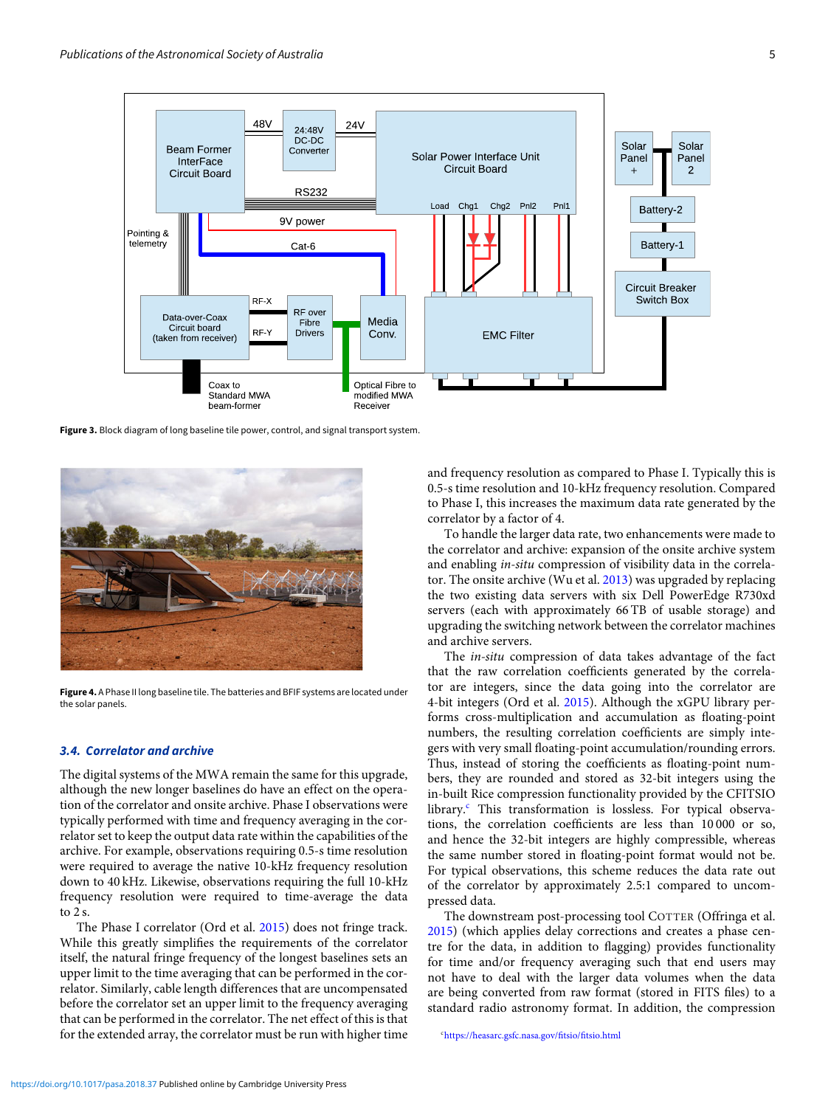<span id="page-4-0"></span>

**Figure 3.** Block diagram of long baseline tile power, control, and signal transport system.

<span id="page-4-1"></span>

**Figure 4.** A Phase II long baseline tile. The batteries and BFIF systems are located under the solar panels.

#### *3.4. Correlator and archive*

The digital systems of the MWA remain the same for this upgrade, although the new longer baselines do have an effect on the operation of the correlator and onsite archive. Phase I observations were typically performed with time and frequency averaging in the correlator set to keep the output data rate within the capabilities of the archive. For example, observations requiring 0.5-s time resolution were required to average the native 10-kHz frequency resolution down to 40 kHz. Likewise, observations requiring the full 10-kHz frequency resolution were required to time-average the data to 2 s.

The Phase I correlator (Ord et al. [2015](#page-7-10)) does not fringe track. While this greatly simplifies the requirements of the correlator itself, the natural fringe frequency of the longest baselines sets an upper limit to the time averaging that can be performed in the correlator. Similarly, cable length differences that are uncompensated before the correlator set an upper limit to the frequency averaging that can be performed in the correlator. The net effect of this is that for the extended array, the correlator must be run with higher time

and frequency resolution as compared to Phase I. Typically this is 0.5-s time resolution and 10-kHz frequency resolution. Compared to Phase I, this increases the maximum data rate generated by the correlator by a factor of 4.

To handle the larger data rate, two enhancements were made to the correlator and archive: expansion of the onsite archive system and enabling *in-situ* compression of visibility data in the correlator. The onsite archive (Wu et al. [2013](#page-8-13)) was upgraded by replacing the two existing data servers with six Dell PowerEdge R730xd servers (each with approximately 66 TB of usable storage) and upgrading the switching network between the correlator machines and archive servers.

The *in-situ* compression of data takes advantage of the fact that the raw correlation coefficients generated by the correlator are integers, since the data going into the correlator are 4-bit integers (Ord et al. [2015\)](#page-7-10). Although the xGPU library performs cross-multiplication and accumulation as floating-point numbers, the resulting correlation coefficients are simply integers with very small floating-point accumulation/rounding errors. Thus, instead of storing the coefficients as floating-point numbers, they are rounded and stored as 32-bit integers using the in-built Rice compression functionality provided by the CFITSIO library.<sup>c</sup> This transformation is lossless. For typical observations, the correlation coefficients are less than 10 000 or so, and hence the 32-bit integers are highly compressible, whereas the same number stored in floating-point format would not be. For typical observations, this scheme reduces the data rate out of the correlator by approximately 2.5:1 compared to uncompressed data.

The downstream post-processing tool COTTER (Offringa et al. [2015\)](#page-7-25) (which applies delay corrections and creates a phase centre for the data, in addition to flagging) provides functionality for time and/or frequency averaging such that end users may not have to deal with the larger data volumes when the data are being converted from raw format (stored in FITS files) to a standard radio astronomy format. In addition, the compression

<span id="page-4-2"></span>c <https://heasarc.gsfc.nasa.gov/fitsio/fitsio.html>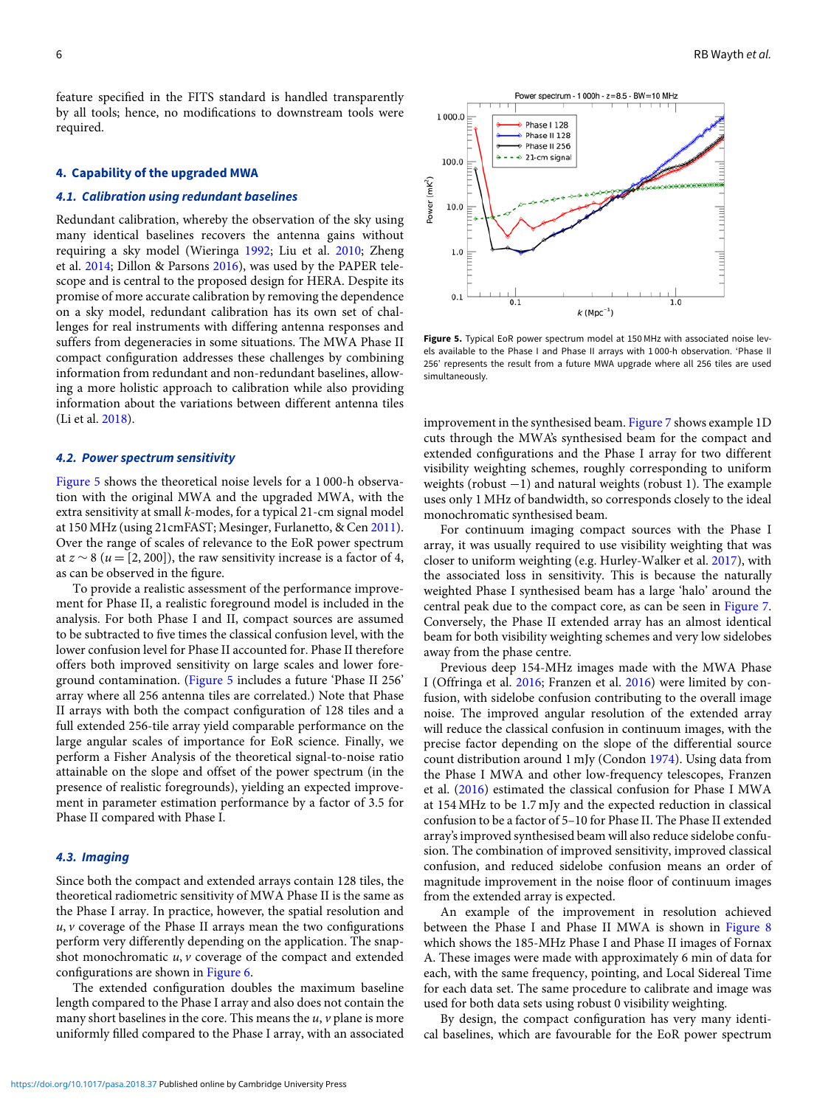feature specified in the FITS standard is handled transparently by all tools; hence, no modifications to downstream tools were required.

#### <span id="page-5-0"></span>**4. Capability of the upgraded MWA**

# *4.1. Calibration using redundant baselines*

Redundant calibration, whereby the observation of the sky using many identical baselines recovers the antenna gains without requiring a sky model (Wieringa [1992;](#page-8-14) Liu et al. [2010;](#page-7-26) Zheng et al. [2014](#page-8-15); Dillon & Parsons [2016\)](#page-7-27), was used by the PAPER telescope and is central to the proposed design for HERA. Despite its promise of more accurate calibration by removing the dependence on a sky model, redundant calibration has its own set of challenges for real instruments with differing antenna responses and suffers from degeneracies in some situations. The MWA Phase II compact configuration addresses these challenges by combining information from redundant and non-redundant baselines, allowing a more holistic approach to calibration while also providing information about the variations between different antenna tiles (Li et al. [2018](#page-7-28)).

#### *4.2. Power spectrum sensitivity*

[Figure 5](#page-5-2) shows the theoretical noise levels for a 1 000-h observation with the original MWA and the upgraded MWA, with the extra sensitivity at small *k*-modes, for a typical 21-cm signal model at 150 MHz (using 21cmFAST; Mesinger, Furlanetto, & Cen [2011](#page-7-29)). Over the range of scales of relevance to the EoR power spectrum at  $z \sim 8$  ( $u = [2, 200]$ ), the raw sensitivity increase is a factor of 4, as can be observed in the figure.

To provide a realistic assessment of the performance improvement for Phase II, a realistic foreground model is included in the analysis. For both Phase I and II, compact sources are assumed to be subtracted to five times the classical confusion level, with the lower confusion level for Phase II accounted for. Phase II therefore offers both improved sensitivity on large scales and lower foreground contamination. [\(Figure 5](#page-5-2) includes a future 'Phase II 256' array where all 256 antenna tiles are correlated.) Note that Phase II arrays with both the compact configuration of 128 tiles and a full extended 256-tile array yield comparable performance on the large angular scales of importance for EoR science. Finally, we perform a Fisher Analysis of the theoretical signal-to-noise ratio attainable on the slope and offset of the power spectrum (in the presence of realistic foregrounds), yielding an expected improvement in parameter estimation performance by a factor of 3.5 for Phase II compared with Phase I.

#### <span id="page-5-1"></span>*4.3. Imaging*

Since both the compact and extended arrays contain 128 tiles, the theoretical radiometric sensitivity of MWA Phase II is the same as the Phase I array. In practice, however, the spatial resolution and *u*, *v* coverage of the Phase II arrays mean the two configurations perform very differently depending on the application. The snapshot monochromatic *u*, *v* coverage of the compact and extended configurations are shown in [Figure 6.](#page-6-1)

The extended configuration doubles the maximum baseline length compared to the Phase I array and also does not contain the many short baselines in the core. This means the *u*, *v* plane is more uniformly filled compared to the Phase I array, with an associated

<span id="page-5-2"></span>

**Figure 5.** Typical EoR power spectrum model at 150 MHz with associated noise levels available to the Phase I and Phase II arrays with 1 000-h observation. 'Phase II 256' represents the result from a future MWA upgrade where all 256 tiles are used simultaneously.

improvement in the synthesised beam. [Figure 7](#page-6-2) shows example 1D cuts through the MWA's synthesised beam for the compact and extended configurations and the Phase I array for two different visibility weighting schemes, roughly corresponding to uniform weights (robust −1) and natural weights (robust 1). The example uses only 1 MHz of bandwidth, so corresponds closely to the ideal monochromatic synthesised beam.

For continuum imaging compact sources with the Phase I array, it was usually required to use visibility weighting that was closer to uniform weighting (e.g. Hurley-Walker et al. [2017](#page-7-30)), with the associated loss in sensitivity. This is because the naturally weighted Phase I synthesised beam has a large 'halo' around the central peak due to the compact core, as can be seen in [Figure 7.](#page-6-2) Conversely, the Phase II extended array has an almost identical beam for both visibility weighting schemes and very low sidelobes away from the phase centre.

Previous deep 154-MHz images made with the MWA Phase I (Offringa et al. [2016](#page-7-31); Franzen et al. [2016\)](#page-7-32) were limited by confusion, with sidelobe confusion contributing to the overall image noise. The improved angular resolution of the extended array will reduce the classical confusion in continuum images, with the precise factor depending on the slope of the differential source count distribution around 1 mJy (Condon [1974\)](#page-7-33). Using data from the Phase I MWA and other low-frequency telescopes, Franzen et al. [\(2016](#page-7-32)) estimated the classical confusion for Phase I MWA at 154 MHz to be 1.7 mJy and the expected reduction in classical confusion to be a factor of 5–10 for Phase II. The Phase II extended array's improved synthesised beam will also reduce sidelobe confusion. The combination of improved sensitivity, improved classical confusion, and reduced sidelobe confusion means an order of magnitude improvement in the noise floor of continuum images from the extended array is expected.

An example of the improvement in resolution achieved between the Phase I and Phase II MWA is shown in [Figure 8](#page-7-34) which shows the 185-MHz Phase I and Phase II images of Fornax A. These images were made with approximately 6 min of data for each, with the same frequency, pointing, and Local Sidereal Time for each data set. The same procedure to calibrate and image was used for both data sets using robust 0 visibility weighting.

By design, the compact configuration has very many identical baselines, which are favourable for the EoR power spectrum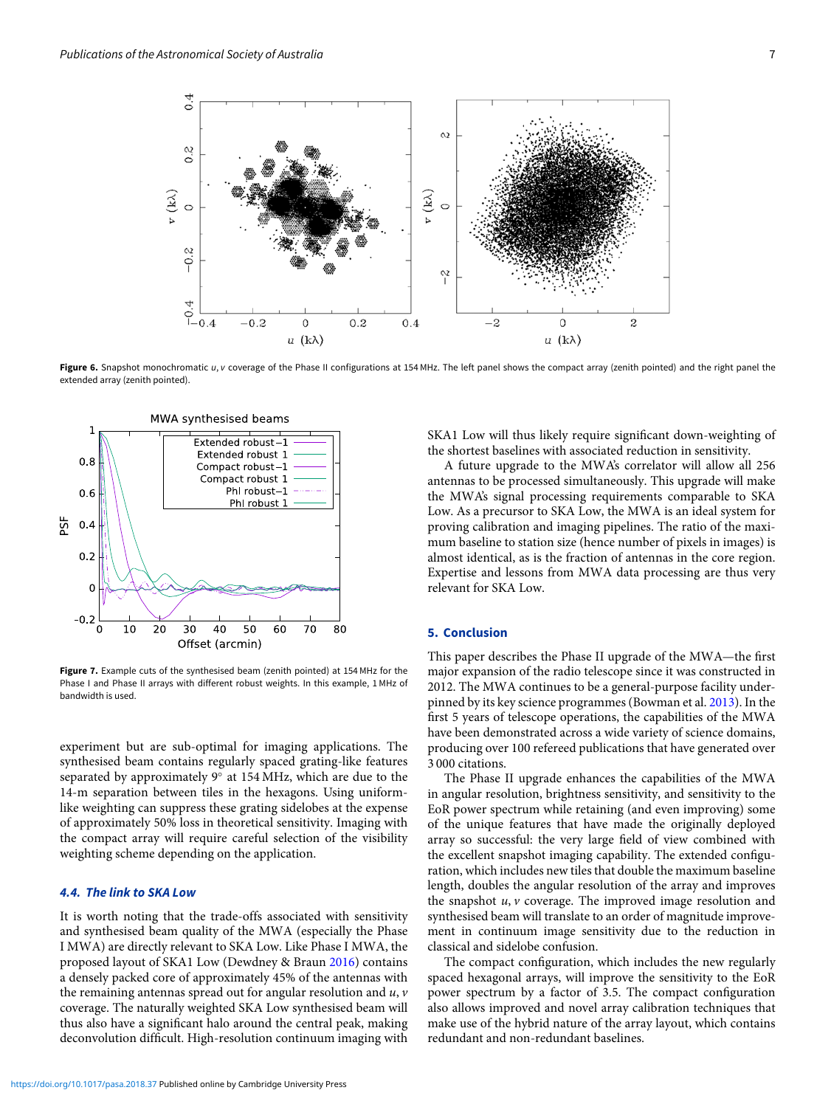<span id="page-6-1"></span>

Figure 6. Snapshot monochromatic *u*, *v* coverage of the Phase II configurations at 154 MHz. The left panel shows the compact array (zenith pointed) and the right panel the extended array (zenith pointed).

<span id="page-6-2"></span>

**Figure 7.** Example cuts of the synthesised beam (zenith pointed) at 154 MHz for the Phase I and Phase II arrays with different robust weights. In this example, 1 MHz of bandwidth is used.

experiment but are sub-optimal for imaging applications. The synthesised beam contains regularly spaced grating-like features separated by approximately 9◦ at 154 MHz, which are due to the 14-m separation between tiles in the hexagons. Using uniformlike weighting can suppress these grating sidelobes at the expense of approximately 50% loss in theoretical sensitivity. Imaging with the compact array will require careful selection of the visibility weighting scheme depending on the application.

# *4.4. The link to SKA Low*

It is worth noting that the trade-offs associated with sensitivity and synthesised beam quality of the MWA (especially the Phase I MWA) are directly relevant to SKA Low. Like Phase I MWA, the proposed layout of SKA1 Low (Dewdney & Braun [2016](#page-7-35)) contains a densely packed core of approximately 45% of the antennas with the remaining antennas spread out for angular resolution and *u*, *v* coverage. The naturally weighted SKA Low synthesised beam will thus also have a significant halo around the central peak, making deconvolution difficult. High-resolution continuum imaging with

SKA1 Low will thus likely require significant down-weighting of the shortest baselines with associated reduction in sensitivity.

A future upgrade to the MWA's correlator will allow all 256 antennas to be processed simultaneously. This upgrade will make the MWA's signal processing requirements comparable to SKA Low. As a precursor to SKA Low, the MWA is an ideal system for proving calibration and imaging pipelines. The ratio of the maximum baseline to station size (hence number of pixels in images) is almost identical, as is the fraction of antennas in the core region. Expertise and lessons from MWA data processing are thus very relevant for SKA Low.

# <span id="page-6-0"></span>**5. Conclusion**

This paper describes the Phase II upgrade of the MWA—the first major expansion of the radio telescope since it was constructed in 2012. The MWA continues to be a general-purpose facility underpinned by its key science programmes (Bowman et al. [2013\)](#page-7-11). In the first 5 years of telescope operations, the capabilities of the MWA have been demonstrated across a wide variety of science domains, producing over 100 refereed publications that have generated over 3 000 citations.

The Phase II upgrade enhances the capabilities of the MWA in angular resolution, brightness sensitivity, and sensitivity to the EoR power spectrum while retaining (and even improving) some of the unique features that have made the originally deployed array so successful: the very large field of view combined with the excellent snapshot imaging capability. The extended configuration, which includes new tiles that double the maximum baseline length, doubles the angular resolution of the array and improves the snapshot *u*, *v* coverage. The improved image resolution and synthesised beam will translate to an order of magnitude improvement in continuum image sensitivity due to the reduction in classical and sidelobe confusion.

The compact configuration, which includes the new regularly spaced hexagonal arrays, will improve the sensitivity to the EoR power spectrum by a factor of 3.5. The compact configuration also allows improved and novel array calibration techniques that make use of the hybrid nature of the array layout, which contains redundant and non-redundant baselines.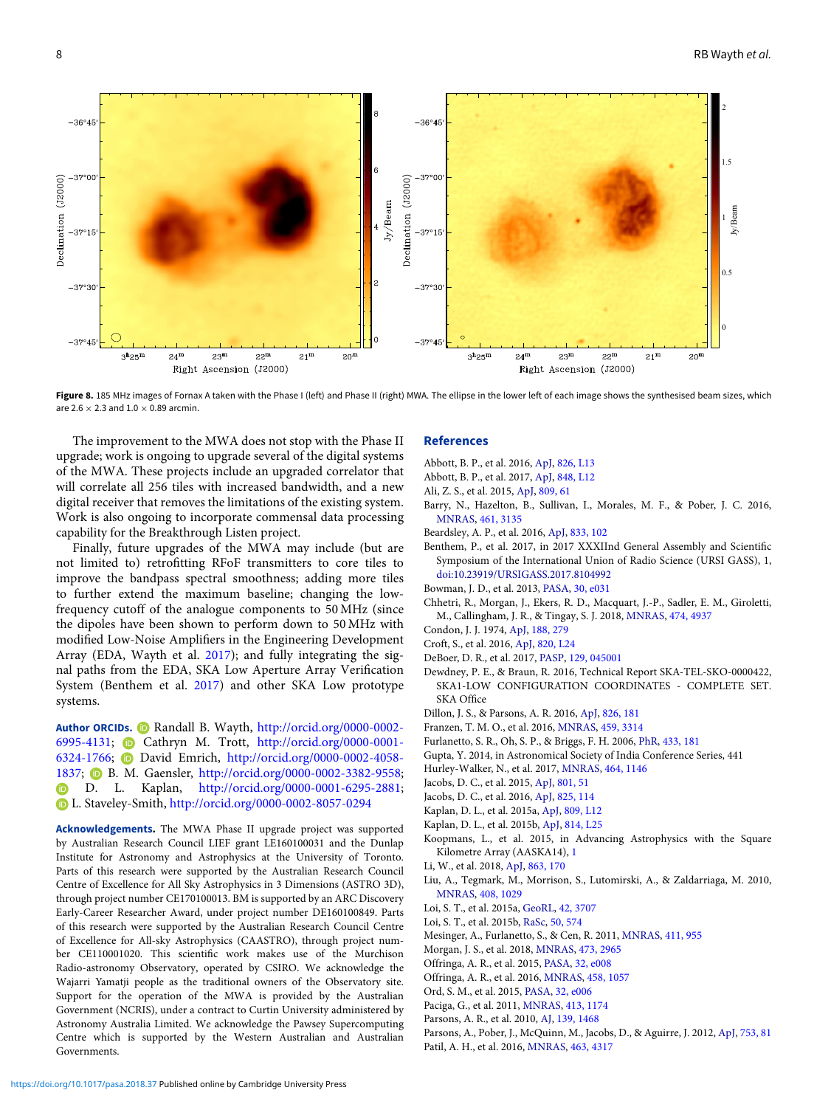<span id="page-7-34"></span>2  $-36°45$  $-36°45$ 1.5  $-37°00$  $-37°00$ Declination (J2000) Declination (J2000)  $Jy/Beam$ Jy/Beam 1  $37°1$  $-37°1$  $0.5$  $-37°30$  $-37°3$  $\overline{C}$  $-37°45$  $-37°45$  $3<sup>h</sup>25<sup>r</sup>$  $24<sup>n</sup>$  $23<sup>r</sup>$  $22^1$  $21<sup>n</sup>$  $20<sup>n</sup>$  $3<sup>h</sup>25<sup>n</sup>$  $24^{1}$  $23<sup>1</sup>$  $22^n$  $21<sup>n</sup>$  $20<sup>1</sup>$ Right Ascension (J2000) Right Ascension (J2000)

**Figure 8.** 185 MHz images of Fornax A taken with the Phase I (left) and Phase II (right) MWA. The ellipse in the lower left of each image shows the synthesised beam sizes, which are 2.6  $\times$  2.3 and 1.0  $\times$  0.89 arcmin.

The improvement to the MWA does not stop with the Phase II upgrade; work is ongoing to upgrade several of the digital systems of the MWA. These projects include an upgraded correlator that will correlate all 256 tiles with increased bandwidth, and a new digital receiver that removes the limitations of the existing system. Work is also ongoing to incorporate commensal data processing capability for the Breakthrough Listen project.

Finally, future upgrades of the MWA may include (but are not limited to) retrofitting RFoF transmitters to core tiles to improve the bandpass spectral smoothness; adding more tiles to further extend the maximum baseline; changing the lowfrequency cutoff of the analogue components to 50 MHz (since the dipoles have been shown to perform down to 50 MHz with modified Low-Noise Amplifiers in the Engineering Development Array (EDA, Wayth et al. [2017](#page-8-5)); and fully integrating the signal paths from the EDA, SKA Low Aperture Array Verification System (Benthem et al. [2017](#page-7-9)) and other SKA Low prototype systems.

Author ORCIDs. **D** Randall B. Wayth, [http://orcid.org/0000-0002-](http://orcid.org/0000-0002-6995-4131) [6995-4131;](http://orcid.org/0000-0002-6995-4131) Cathryn M. Trott, [http://orcid.org/0000-0001-](http://orcid.org/0000-0001-6324-1766) [6324-1766;](http://orcid.org/0000-0001-6324-1766) David Emrich, [http://orcid.org/0000-0002-4058-](http://orcid.org/0000-0002-4058-1837) [1837;](http://orcid.org/0000-0002-4058-1837) B. M. Gaensler, [http://orcid.org/0000-0002-3382-9558;](http://orcid.org/0000-0002-3382-9558) D. L. Kaplan, [http://orcid.org/0000-0001-6295-2881;](http://orcid.org/0000-0001-6295-2881) L. Staveley-Smith, <http://orcid.org/0000-0002-8057-0294>

**Acknowledgements.** The MWA Phase II upgrade project was supported by Australian Research Council LIEF grant LE160100031 and the Dunlap Institute for Astronomy and Astrophysics at the University of Toronto. Parts of this research were supported by the Australian Research Council Centre of Excellence for All Sky Astrophysics in 3 Dimensions (ASTRO 3D), through project number CE170100013. BM is supported by an ARC Discovery Early-Career Researcher Award, under project number DE160100849. Parts of this research were supported by the Australian Research Council Centre of Excellence for All-sky Astrophysics (CAASTRO), through project number CE110001020. This scientific work makes use of the Murchison Radio-astronomy Observatory, operated by CSIRO. We acknowledge the Wajarri Yamatji people as the traditional owners of the Observatory site. Support for the operation of the MWA is provided by the Australian Government (NCRIS), under a contract to Curtin University administered by Astronomy Australia Limited. We acknowledge the Pawsey Supercomputing Centre which is supported by the Western Australian and Australian Governments.

#### **References**

- <span id="page-7-19"></span>Abbott, B. P., et al. 2016, [ApJ,](http://dx.doi.org/10.3847/2041-8205/826/1/L13) [826, L13](http://adsabs.harvard.edu/abs/2016ApJ...826L..13A)
- <span id="page-7-20"></span>Abbott, B. P., et al. 2017, [ApJ,](http://dx.doi.org/10.3847/2041-8213/aa91c9) [848, L12](http://adsabs.harvard.edu/abs/2017ApJ...848L..12A)
- <span id="page-7-7"></span>Ali, Z. S., et al. 2015, [ApJ,](http://dx.doi.org/10.1088/0004-637X/809/1/61) [809, 61](http://adsabs.harvard.edu/abs/2015ApJ...809...61A)
- <span id="page-7-22"></span>Barry, N., Hazelton, B., Sullivan, I., Morales, M. F., & Pober, J. C. 2016, [MNRAS,](http://dx.doi.org/10.1093/mnras/stw1380) [461, 3135](http://adsabs.harvard.edu/abs/2016MNRAS.461.3135B)
- <span id="page-7-8"></span>Beardsley, A. P., et al. 2016, [ApJ,](http://dx.doi.org/10.3847/1538-4357/833/1/102) [833, 102](http://adsabs.harvard.edu/abs/2016ApJ...833..102B)
- <span id="page-7-9"></span>Benthem, P., et al. 2017, in 2017 XXXIInd General Assembly and Scientific Symposium of the International Union of Radio Science (URSI GASS), 1, [doi:10.23919/URSIGASS.2017.8104992](http://dx.doi.org/10.23919/URSIGASS.2017.8104992)
- <span id="page-7-11"></span>Bowman, J. D., et al. 2013, [PASA,](http://dx.doi.org/10.1017/pas.2013.009) [30, e031](http://adsabs.harvard.edu/abs/2013PASA...30...31B)
- <span id="page-7-16"></span>Chhetri, R., Morgan, J., Ekers, R. D., Macquart, J.-P., Sadler, E. M., Giroletti, M., Callingham, J. R., & Tingay, S. J. 2018, [MNRAS,](http://dx.doi.org/10.1093/mnras/stx2864) [474, 4937](http://adsabs.harvard.edu/abs/2018MNRAS.474.4937C)
- <span id="page-7-33"></span>Condon, J. J. 1974, [ApJ,](http://dx.doi.org/10.1086/152714) [188, 279](http://adsabs.harvard.edu/abs/1974ApJ...188..279C)
- <span id="page-7-18"></span>Croft, S., et al. 2016, [ApJ,](http://dx.doi.org/10.3847/2041-8205/820/2/L24) [820, L24](http://adsabs.harvard.edu/abs/2016ApJ...820L..24C)
- <span id="page-7-4"></span>DeBoer, D. R., et al. 2017, [PASP,](http://dx.doi.org/10.1088/1538-3873/129/974/045001) [129, 045001](http://adsabs.harvard.edu/abs/2017PASP..129d5001D)
- <span id="page-7-35"></span>Dewdney, P. E., & Braun, R. 2016, Technical Report SKA-TEL-SKO-0000422, SKA1-LOW CONFIGURATION COORDINATES - COMPLETE SET. SKA Office
- <span id="page-7-27"></span>Dillon, J. S., & Parsons, A. R. 2016, [ApJ,](http://dx.doi.org/10.3847/0004-637X/826/2/181) [826, 181](http://adsabs.harvard.edu/abs/2016ApJ...826..181D)
- <span id="page-7-32"></span>Franzen, T. M. O., et al. 2016, [MNRAS,](http://dx.doi.org/10.1093/mnras/stw823) [459, 3314](http://adsabs.harvard.edu/abs/2016MNRAS.459.3314F)
- <span id="page-7-0"></span>Furlanetto, S. R., Oh, S. P., & Briggs, F. H. 2006, [PhR,](http://dx.doi.org/10.1016/j.physrep.2006.08.002) [433, 181](http://adsabs.harvard.edu/abs/2006PhR...433..181F)
- <span id="page-7-2"></span>Gupta, Y. 2014, in Astronomical Society of India Conference Series, 441
- <span id="page-7-30"></span>Hurley-Walker, N., et al. 2017, [MNRAS,](http://dx.doi.org/10.1093/mnras/stw2337) [464, 1146](http://adsabs.harvard.edu/abs/2017MNRAS.464.1146H)
- <span id="page-7-6"></span>Jacobs, D. C., et al. 2015, [ApJ,](http://dx.doi.org/10.1088/0004-637X/801/1/51) [801, 51](http://adsabs.harvard.edu/abs/2015ApJ...801...51J)
- <span id="page-7-21"></span>Jacobs, D. C., et al. 2016, [ApJ,](http://dx.doi.org/10.3847/0004-637X/825/2/114) [825, 114](http://adsabs.harvard.edu/abs/2016ApJ...825..114J)
- <span id="page-7-14"></span>Kaplan, D. L., et al. 2015a, [ApJ,](http://dx.doi.org/10.1088/2041-8205/809/1/L12) [809, L12](http://adsabs.harvard.edu/abs/2015ApJ...809L..12K)
- <span id="page-7-17"></span>Kaplan, D. L., et al. 2015b, [ApJ,](http://dx.doi.org/10.1088/2041-8205/814/2/L25) [814, L25](http://adsabs.harvard.edu/abs/2015ApJ...814L..25K)
- <span id="page-7-1"></span>Koopmans, L., et al. 2015, in Advancing Astrophysics with the Square Kilometre Array (AASKA14), [1](http://adsabs.harvard.edu/abs/2015aska.confE...1K)
- <span id="page-7-28"></span>Li, W., et al. 2018, [ApJ,](http://dx.doi.org/10.3847/1538-4357/aad3c3) [863, 170](http://adsabs.harvard.edu/abs/2018ApJ...863..170L)
- <span id="page-7-26"></span>Liu, A., Tegmark, M., Morrison, S., Lutomirski, A., & Zaldarriaga, M. 2010, [MNRAS,](http://dx.doi.org/10.1111/j.1365-2966.2010.17174.x) [408, 1029](http://adsabs.harvard.edu/abs/2010MNRAS.408.1029L)
- <span id="page-7-12"></span>Loi, S. T., et al. 2015a, [GeoRL,](http://dx.doi.org/10.1002/2015GL063699) [42, 3707](http://adsabs.harvard.edu/abs/2015GeoRL..42.3707L)
- <span id="page-7-13"></span>Loi, S. T., et al. 2015b, [RaSc,](http://dx.doi.org/10.1002/2015RS005711) [50, 574](http://adsabs.harvard.edu/abs/2015RaSc...50..574L)
- <span id="page-7-29"></span>Mesinger, A., Furlanetto, S., & Cen, R. 2011, [MNRAS,](http://dx.doi.org/10.1111/j.1365-2966.2010.17731.x) [411, 955](http://adsabs.harvard.edu/abs/2011MNRAS.411..955M)
- <span id="page-7-15"></span>Morgan, J. S., et al. 2018, [MNRAS,](http://dx.doi.org/10.1093/mnras/stx2284) [473, 2965](http://adsabs.harvard.edu/abs/2018MNRAS.473.2965M)
- <span id="page-7-25"></span>Offringa, A. R., et al. 2015, [PASA,](http://dx.doi.org/10.1017/pasa.2015.7) [32, e008](http://adsabs.harvard.edu/abs/2015PASA...32....8O)
- <span id="page-7-31"></span>Offringa, A. R., et al. 2016, [MNRAS,](http://dx.doi.org/10.1093/mnras/stw310) [458, 1057](http://adsabs.harvard.edu/abs/2016MNRAS.458.1057O)
- <span id="page-7-10"></span>Ord, S. M., et al. 2015, [PASA,](http://dx.doi.org/10.1017/pasa.2015.5) [32, e006](http://adsabs.harvard.edu/abs/2015PASA...32....6O)
- <span id="page-7-5"></span>Paciga, G., et al. 2011, [MNRAS,](http://dx.doi.org/10.1111/j.1365-2966.2011.18208.x) [413, 1174](http://adsabs.harvard.edu/abs/2011MNRAS.413.1174P)
- Parsons, A. R., et al. 2010, [AJ,](http://dx.doi.org/10.1088/0004-6256/139/4/1468) [139, 1468](http://adsabs.harvard.edu/abs/2010AJ....139.1468P)
- <span id="page-7-24"></span><span id="page-7-3"></span>Parsons, A., Pober, J., McQuinn, M., Jacobs, D., & Aguirre, J. 2012, [ApJ,](http://dx.doi.org/10.1088/0004-637X/753/1/81) [753, 81](http://adsabs.harvard.edu/abs/2012ApJ...753...81P)
- <span id="page-7-23"></span>Patil, A. H., et al. 2016, [MNRAS,](http://dx.doi.org/10.1093/mnras/stw2277) [463, 4317](http://adsabs.harvard.edu/abs/2016MNRAS.463.4317P)